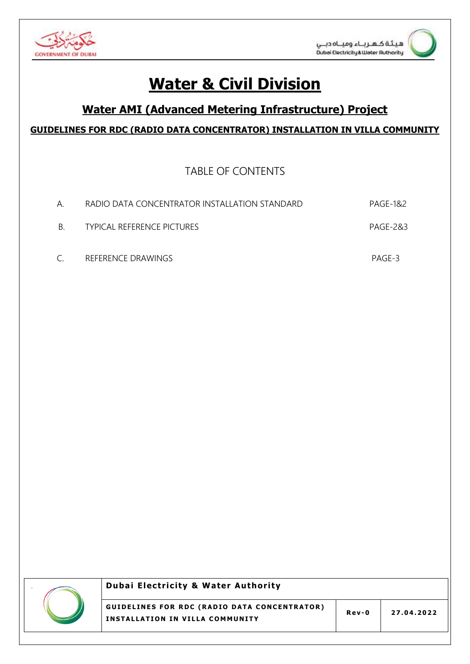

# **Water & Civil Division**

## **Water AMI (Advanced Metering Infrastructure) Project**

### GUIDELINES FOR RDC (RADIO DATA CONCENTRATOR) INSTALLATION IN VILLA COMMUNITY

**TABLE OF CONTENTS** 

| $A_{\cdot}$   | RADIO DATA CONCENTRATOR INSTALLATION STANDARD | PAGF-1&2 |
|---------------|-----------------------------------------------|----------|
| B.            | TYPICAL REFERENCE PICTURES                    | PAGF-2&3 |
| $\mathcal{C}$ | REFERENCE DRAWINGS                            | PAGF-3   |



#### **Dubai Electricity & Water Authority**

**GUIDELINES FOR RDC (RADIO DATA CONCENTRATOR)** INSTALLATION IN VILLA COMMUNITY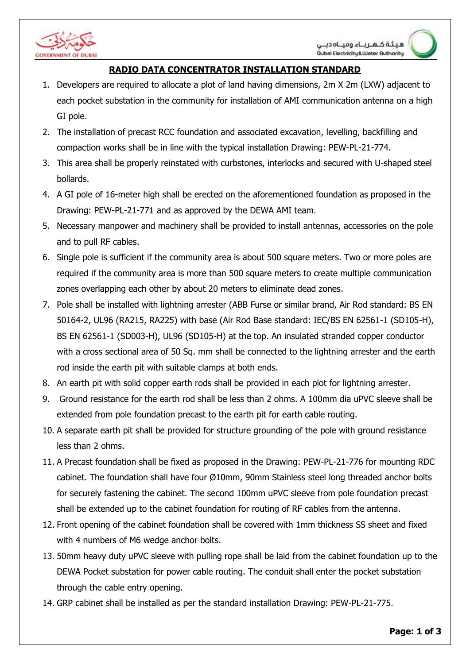

#### **RADIO DATA CONCENTRATOR INSTALLATION STANDARD**

- 1. Developers are required to allocate a plot of land having dimensions, 2m X 2m (LXW) adjacent to each pocket substation in the community for installation of AMI communication antenna on a high GI pole.
- 2. The installation of precast RCC foundation and associated excavation, levelling, backfilling and compaction works shall be in line with the typical installation Drawing: PEW-PL-21-774.
- 3. This area shall be properly reinstated with curbstones, interlocks and secured with U-shaped steel bollards.
- 4. A GI pole of 16-meter high shall be erected on the aforementioned foundation as proposed in the Drawing: PEW-PL-21-771 and as approved by the DEWA AMI team.
- 5. Necessary manpower and machinery shall be provided to install antennas, accessories on the pole and to pull RF cables.
- 6. Single pole is sufficient if the community area is about 500 square meters. Two or more poles are required if the community area is more than 500 square meters to create multiple communication zones overlapping each other by about 20 meters to eliminate dead zones.
- with a cross sectional area of 50 Sq. mm shall be connected to the lightning arrester and the earth 7. Pole shall be installed with lightning arrester (ABB Furse or similar brand, Air Rod standard: BS EN 50164-2, UL96 (RA215, RA225) with base (Air Rod Base standard: IEC/BS EN 62561-1 (SD105-H), BS EN 62561-1 (SD003-H), UL96 (SD105-H) at the top. An insulated stranded copper conductor rod inside the earth pit with suitable clamps at both ends.
- 8. An earth pit with solid copper earth rods shall be provided in each plot for lightning arrester.
- 9. Ground resistance for the earth rod shall be less than 2 ohms. A 100mm dia uPVC sleeve shall be extended from pole foundation precast to the earth pit for earth cable routing.
- 10. A separate earth pit shall be provided for structure grounding of the pole with ground resistance less than 2 ohms.
- 11. A Precast foundation shall be fixed as proposed in the Drawing: PEW-PL-21-776 for mounting RDC cabinet. The foundation shall have four Ø10mm, 90mm Stainless steel long threaded anchor bolts for securely fastening the cabinet. The second 100mm uPVC sleeve from pole foundation precast shall be extended up to the cabinet foundation for routing of RF cables from the antenna.
- 12. Front opening of the cabinet foundation shall be covered with 1mm thickness SS sheet and fixed with 4 numbers of M6 wedge anchor bolts.
- 13. 50mm heavy duty uPVC sleeve with pulling rope shall be laid from the cabinet foundation up to the DEWA Pocket substation for power cable routing. The conduit shall enter the pocket substation through the cable entry opening.
- 14. GRP cabinet shall be installed as per the standard installation Drawing: PEW-PL-21-775.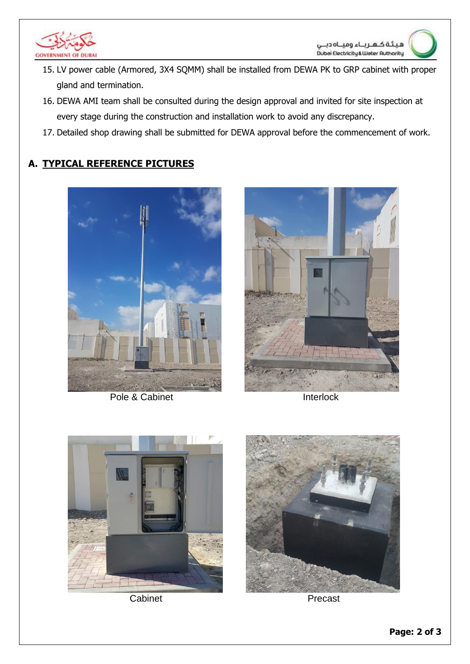

- 15. LV power cable (Armored, 3X4 SQMM) shall be installed from DEWA PK to GRP cabinet with proper gland and termination.
- 16. DEWA AMI team shall be consulted during the design approval and invited for site inspection at every stage during the construction and installation work to avoid any discrepancy.
- 17. Detailed shop drawing shall be submitted for DEWA approval before the commencement of work.

## A. TYPICAL REFERENCE PICTURES



Pole & Cabinet



Interlock



Cabinet



Precast